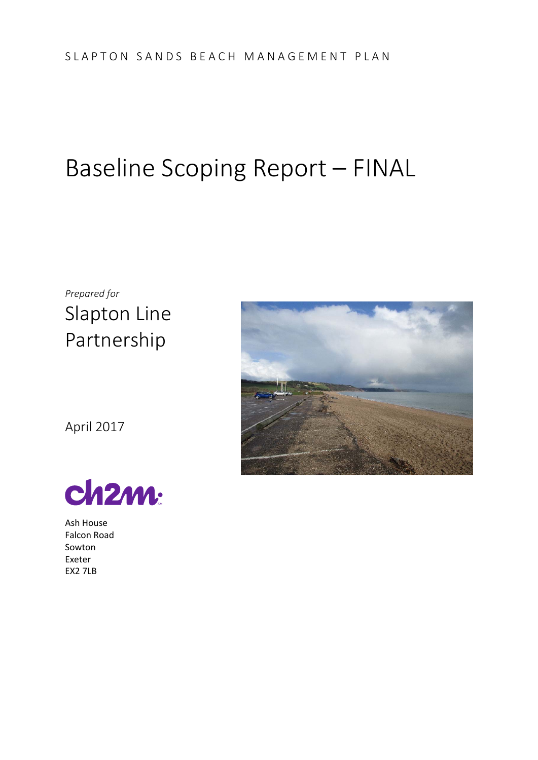# Baseline Scoping Report – FINAL

*Prepared for*  Slapton Line Partnership



April 2017



Ash House Falcon Road Sowton Exeter EX2 7LB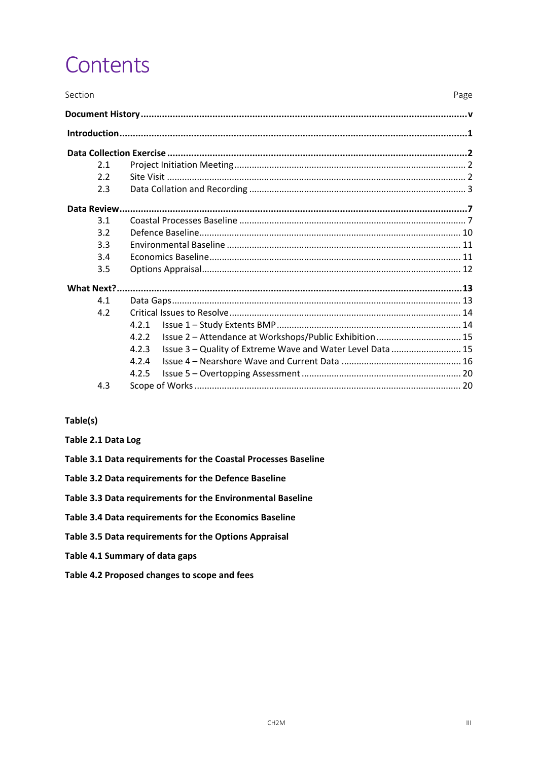# Contents

| Section |                                                                     | Page |
|---------|---------------------------------------------------------------------|------|
|         |                                                                     |      |
|         |                                                                     |      |
|         |                                                                     |      |
| 2.1     |                                                                     |      |
| 2.2     |                                                                     |      |
| 2.3     |                                                                     |      |
|         |                                                                     |      |
| 3.1     |                                                                     |      |
| 3.2     |                                                                     |      |
| 3.3     |                                                                     |      |
| 3.4     |                                                                     |      |
| 3.5     |                                                                     |      |
|         |                                                                     |      |
| 4.1     |                                                                     |      |
| 4.2     |                                                                     |      |
|         | 4.2.1                                                               |      |
|         | Issue 2 - Attendance at Workshops/Public Exhibition  15<br>4.2.2    |      |
|         | Issue 3 - Quality of Extreme Wave and Water Level Data  15<br>4.2.3 |      |
|         | 4.2.4                                                               |      |
|         | 4.2.5                                                               |      |
| 4.3     |                                                                     |      |

#### Table(s)

- Table 2.1 Data Log
- Table 3.1 Data requirements for the Coastal Processes Baseline
- Table 3.2 Data requirements for the Defence Baseline
- Table 3.3 Data requirements for the Environmental Baseline
- Table 3.4 Data requirements for the Economics Baseline
- Table 3.5 Data requirements for the Options Appraisal
- Table 4.1 Summary of data gaps
- Table 4.2 Proposed changes to scope and fees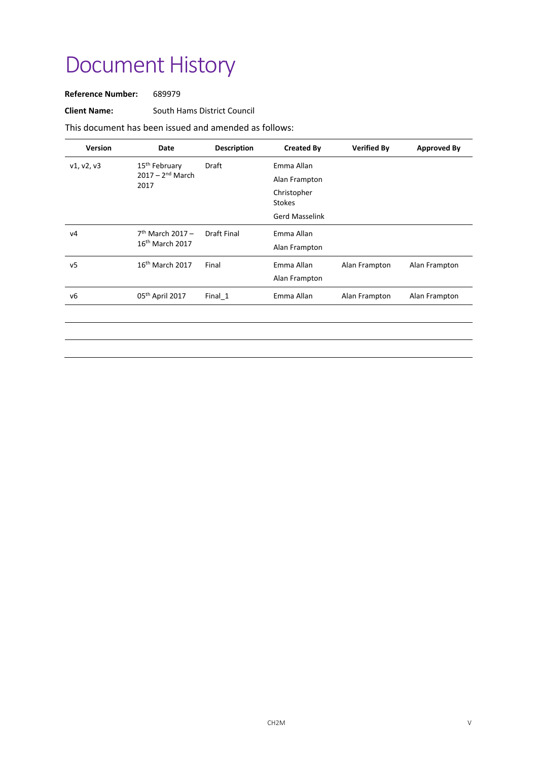# Document History

**Reference Number:**  689979

**Client Name:** South Hams District Council

This document has been issued and amended as follows:

| <b>Version</b> | Date                                    | <b>Description</b> | <b>Created By</b>            | <b>Verified By</b> | <b>Approved By</b> |
|----------------|-----------------------------------------|--------------------|------------------------------|--------------------|--------------------|
| v1, v2, v3     | 15 <sup>th</sup> February               | Draft              | Emma Allan                   |                    |                    |
|                | $2017 - 2^{nd}$ March<br>2017           |                    | Alan Frampton                |                    |                    |
|                |                                         |                    | Christopher<br><b>Stokes</b> |                    |                    |
|                |                                         |                    | <b>Gerd Masselink</b>        |                    |                    |
| ν4             | $7th$ March 2017 –<br>$16th$ March 2017 | <b>Draft Final</b> | Emma Allan                   |                    |                    |
|                |                                         |                    | Alan Frampton                |                    |                    |
| ν5             | $16th$ March 2017                       | Final              | Emma Allan                   | Alan Frampton      | Alan Frampton      |
|                |                                         |                    | Alan Frampton                |                    |                    |
| ν6             | 05 <sup>th</sup> April 2017             | Final_1            | Emma Allan                   | Alan Frampton      | Alan Frampton      |
|                |                                         |                    |                              |                    |                    |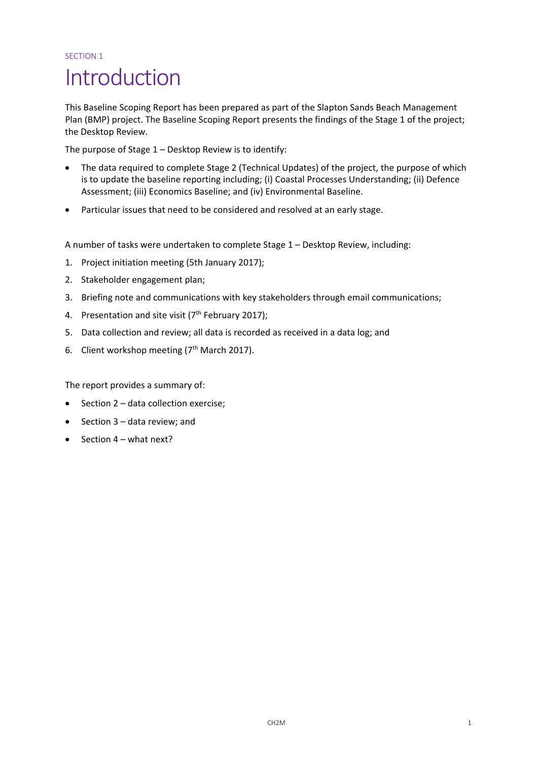#### SECTION 1

# Introduction

This Baseline Scoping Report has been prepared as part of the Slapton Sands Beach Management Plan (BMP) project. The Baseline Scoping Report presents the findings of the Stage 1 of the project; the Desktop Review.

The purpose of Stage 1 – Desktop Review is to identify:

- The data required to complete Stage 2 (Technical Updates) of the project, the purpose of which is to update the baseline reporting including; (i) Coastal Processes Understanding; (ii) Defence Assessment; (iii) Economics Baseline; and (iv) Environmental Baseline.
- Particular issues that need to be considered and resolved at an early stage.

A number of tasks were undertaken to complete Stage 1 – Desktop Review, including:

- 1. Project initiation meeting (5th January 2017);
- 2. Stakeholder engagement plan;
- 3. Briefing note and communications with key stakeholders through email communications;
- 4. Presentation and site visit  $(7<sup>th</sup>$  February 2017);
- 5. Data collection and review; all data is recorded as received in a data log; and
- 6. Client workshop meeting ( $7<sup>th</sup>$  March 2017).

The report provides a summary of:

- Section 2 data collection exercise;
- Section 3 data review; and
- Section 4 what next?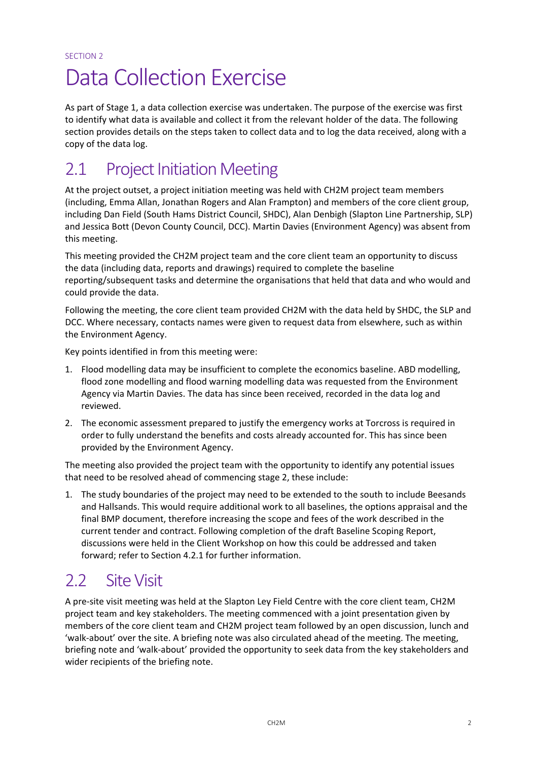# Data Collection Exercise

As part of Stage 1, a data collection exercise was undertaken. The purpose of the exercise was first to identify what data is available and collect it from the relevant holder of the data. The following section provides details on the steps taken to collect data and to log the data received, along with a copy of the data log.

# 2.1 Project Initiation Meeting

At the project outset, a project initiation meeting was held with CH2M project team members (including, Emma Allan, Jonathan Rogers and Alan Frampton) and members of the core client group, including Dan Field (South Hams District Council, SHDC), Alan Denbigh (Slapton Line Partnership, SLP) and Jessica Bott (Devon County Council, DCC). Martin Davies (Environment Agency) was absent from this meeting.

This meeting provided the CH2M project team and the core client team an opportunity to discuss the data (including data, reports and drawings) required to complete the baseline reporting/subsequent tasks and determine the organisations that held that data and who would and could provide the data.

Following the meeting, the core client team provided CH2M with the data held by SHDC, the SLP and DCC. Where necessary, contacts names were given to request data from elsewhere, such as within the Environment Agency.

Key points identified in from this meeting were:

- 1. Flood modelling data may be insufficient to complete the economics baseline. ABD modelling, flood zone modelling and flood warning modelling data was requested from the Environment Agency via Martin Davies. The data has since been received, recorded in the data log and reviewed.
- 2. The economic assessment prepared to justify the emergency works at Torcross is required in order to fully understand the benefits and costs already accounted for. This has since been provided by the Environment Agency.

The meeting also provided the project team with the opportunity to identify any potential issues that need to be resolved ahead of commencing stage 2, these include:

1. The study boundaries of the project may need to be extended to the south to include Beesands and Hallsands. This would require additional work to all baselines, the options appraisal and the final BMP document, therefore increasing the scope and fees of the work described in the current tender and contract. Following completion of the draft Baseline Scoping Report, discussions were held in the Client Workshop on how this could be addressed and taken forward; refer to Section 4.2.1 for further information.

### 2.2 Site Visit

A pre‐site visit meeting was held at the Slapton Ley Field Centre with the core client team, CH2M project team and key stakeholders. The meeting commenced with a joint presentation given by members of the core client team and CH2M project team followed by an open discussion, lunch and 'walk‐about' over the site. A briefing note was also circulated ahead of the meeting. The meeting, briefing note and 'walk‐about' provided the opportunity to seek data from the key stakeholders and wider recipients of the briefing note.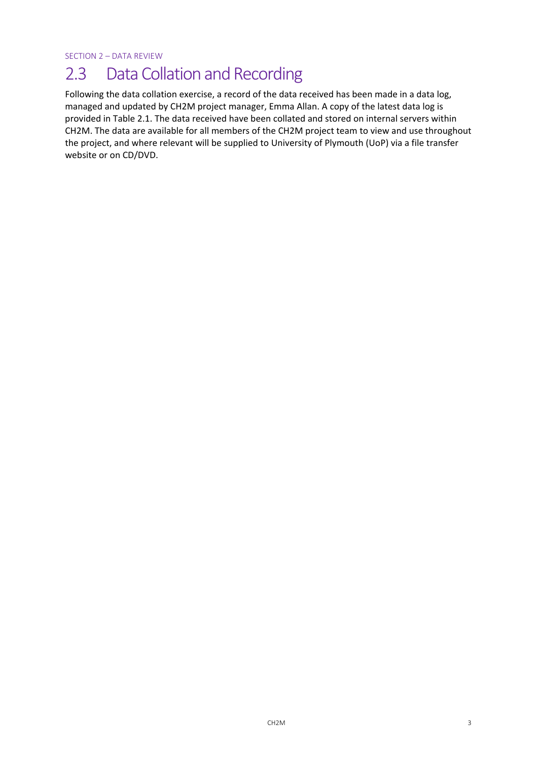SECTION 2 – DATA REVIEW

## 2.3 Data Collation and Recording

Following the data collation exercise, a record of the data received has been made in a data log, managed and updated by CH2M project manager, Emma Allan. A copy of the latest data log is provided in Table 2.1. The data received have been collated and stored on internal servers within CH2M. The data are available for all members of the CH2M project team to view and use throughout the project, and where relevant will be supplied to University of Plymouth (UoP) via a file transfer website or on CD/DVD.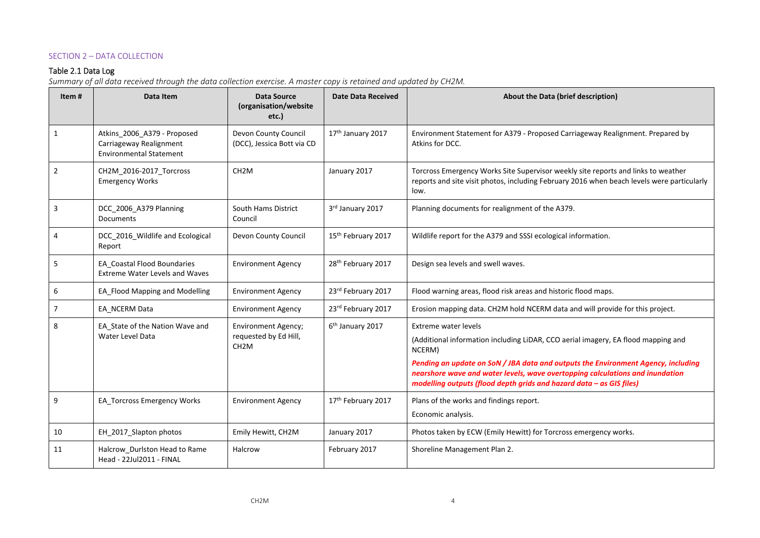#### SECTION 2 – DATA COLLECTION

#### Table 2.1 Data Log

*Summary of all data received through the data collection exercise. A master copy is retained and updated by CH2M.* 

| Item #         | Data Item                                                                                | <b>Data Source</b><br>(organisation/website<br>etc.)                     | <b>Date Data Received</b>      | About the Data (brief description)                                                                                                                                                                                                                                                                                                                                         |
|----------------|------------------------------------------------------------------------------------------|--------------------------------------------------------------------------|--------------------------------|----------------------------------------------------------------------------------------------------------------------------------------------------------------------------------------------------------------------------------------------------------------------------------------------------------------------------------------------------------------------------|
| $\mathbf{1}$   | Atkins 2006 A379 - Proposed<br>Carriageway Realignment<br><b>Environmental Statement</b> | Devon County Council<br>(DCC), Jessica Bott via CD                       | 17 <sup>th</sup> January 2017  | Environment Statement for A379 - Proposed Carriageway Realignment. Prepared by<br>Atkins for DCC.                                                                                                                                                                                                                                                                          |
| $\overline{2}$ | CH2M_2016-2017_Torcross<br><b>Emergency Works</b>                                        | CH <sub>2</sub> M                                                        | January 2017                   | Torcross Emergency Works Site Supervisor weekly site reports and links to weather<br>reports and site visit photos, including February 2016 when beach levels were particularly<br>low.                                                                                                                                                                                    |
| 3              | DCC 2006 A379 Planning<br><b>Documents</b>                                               | <b>South Hams District</b><br>Council                                    | 3rd January 2017               | Planning documents for realignment of the A379.                                                                                                                                                                                                                                                                                                                            |
| 4              | DCC_2016_Wildlife and Ecological<br>Report                                               | Devon County Council                                                     | 15 <sup>th</sup> February 2017 | Wildlife report for the A379 and SSSI ecological information.                                                                                                                                                                                                                                                                                                              |
| 5              | EA Coastal Flood Boundaries<br><b>Extreme Water Levels and Waves</b>                     | <b>Environment Agency</b>                                                | 28 <sup>th</sup> February 2017 | Design sea levels and swell waves.                                                                                                                                                                                                                                                                                                                                         |
| 6              | EA_Flood Mapping and Modelling                                                           | <b>Environment Agency</b>                                                | 23rd February 2017             | Flood warning areas, flood risk areas and historic flood maps.                                                                                                                                                                                                                                                                                                             |
| $\overline{7}$ | EA NCERM Data                                                                            | <b>Environment Agency</b>                                                | 23rd February 2017             | Erosion mapping data. CH2M hold NCERM data and will provide for this project.                                                                                                                                                                                                                                                                                              |
| 8              | EA_State of the Nation Wave and<br>Water Level Data                                      | <b>Environment Agency;</b><br>requested by Ed Hill,<br>CH <sub>2</sub> M | 6 <sup>th</sup> January 2017   | <b>Extreme water levels</b><br>(Additional information including LiDAR, CCO aerial imagery, EA flood mapping and<br>NCERM)<br>Pending an update on SoN / JBA data and outputs the Environment Agency, including<br>nearshore wave and water levels, wave overtopping calculations and inundation<br>modelling outputs (flood depth grids and hazard data $-$ as GIS files) |
| 9              | EA_Torcross Emergency Works                                                              | <b>Environment Agency</b>                                                | 17th February 2017             | Plans of the works and findings report.<br>Economic analysis.                                                                                                                                                                                                                                                                                                              |
| 10             | EH_2017_Slapton photos                                                                   | Emily Hewitt, CH2M                                                       | January 2017                   | Photos taken by ECW (Emily Hewitt) for Torcross emergency works.                                                                                                                                                                                                                                                                                                           |
| 11             | Halcrow_Durlston Head to Rame<br>Head - 22Jul2011 - FINAL                                | Halcrow                                                                  | February 2017                  | Shoreline Management Plan 2.                                                                                                                                                                                                                                                                                                                                               |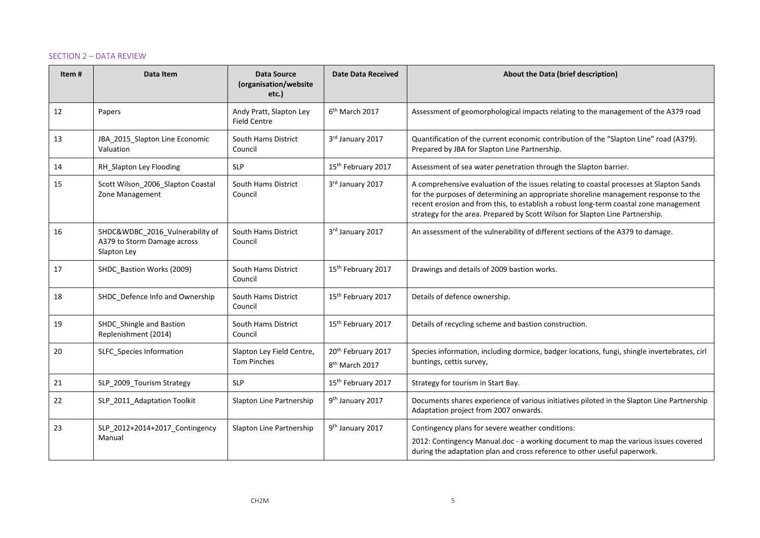#### SECTION 2 – DATA REVIEW

| Item# | Data Item                                                                     | <b>Data Source</b><br>(organisation/website<br>etc.) | <b>Date Data Received</b>                        | About the Data (brief description)                                                                                                                                                                                                                                                                                                                       |
|-------|-------------------------------------------------------------------------------|------------------------------------------------------|--------------------------------------------------|----------------------------------------------------------------------------------------------------------------------------------------------------------------------------------------------------------------------------------------------------------------------------------------------------------------------------------------------------------|
| 12    | Papers                                                                        | Andy Pratt, Slapton Ley<br><b>Field Centre</b>       | 6 <sup>th</sup> March 2017                       | Assessment of geomorphological impacts relating to the management of the A379 road                                                                                                                                                                                                                                                                       |
| 13    | JBA 2015 Slapton Line Economic<br>Valuation                                   | <b>South Hams District</b><br>Council                | 3rd January 2017                                 | Quantification of the current economic contribution of the "Slapton Line" road (A379).<br>Prepared by JBA for Slapton Line Partnership.                                                                                                                                                                                                                  |
| 14    | RH Slapton Ley Flooding                                                       | <b>SLP</b>                                           | 15 <sup>th</sup> February 2017                   | Assessment of sea water penetration through the Slapton barrier.                                                                                                                                                                                                                                                                                         |
| 15    | Scott Wilson_2006_Slapton Coastal<br>Zone Management                          | South Hams District<br>Council                       | 3rd January 2017                                 | A comprehensive evaluation of the issues relating to coastal processes at Slapton Sands<br>for the purposes of determining an appropriate shoreline management response to the<br>recent erosion and from this, to establish a robust long-term coastal zone management<br>strategy for the area. Prepared by Scott Wilson for Slapton Line Partnership. |
| 16    | SHDC&WDBC_2016_Vulnerability of<br>A379 to Storm Damage across<br>Slapton Ley | <b>South Hams District</b><br>Council                | 3rd January 2017                                 | An assessment of the vulnerability of different sections of the A379 to damage.                                                                                                                                                                                                                                                                          |
| 17    | SHDC_Bastion Works (2009)                                                     | South Hams District<br>Council                       | 15 <sup>th</sup> February 2017                   | Drawings and details of 2009 bastion works.                                                                                                                                                                                                                                                                                                              |
| 18    | SHDC_Defence Info and Ownership                                               | South Hams District<br>Council                       | 15 <sup>th</sup> February 2017                   | Details of defence ownership.                                                                                                                                                                                                                                                                                                                            |
| 19    | SHDC_Shingle and Bastion<br>Replenishment (2014)                              | <b>South Hams District</b><br>Council                | 15 <sup>th</sup> February 2017                   | Details of recycling scheme and bastion construction.                                                                                                                                                                                                                                                                                                    |
| 20    | SLFC_Species Information                                                      | Slapton Ley Field Centre,<br><b>Tom Pinches</b>      | 20th February 2017<br>8 <sup>th</sup> March 2017 | Species information, including dormice, badger locations, fungi, shingle invertebrates, cirl<br>buntings, cettis survey,                                                                                                                                                                                                                                 |
| 21    | SLP_2009_Tourism Strategy                                                     | <b>SLP</b>                                           | 15 <sup>th</sup> February 2017                   | Strategy for tourism in Start Bay.                                                                                                                                                                                                                                                                                                                       |
| 22    | SLP_2011_Adaptation Toolkit                                                   | Slapton Line Partnership                             | 9 <sup>th</sup> January 2017                     | Documents shares experience of various initiatives piloted in the Slapton Line Partnership<br>Adaptation project from 2007 onwards.                                                                                                                                                                                                                      |
| 23    | SLP_2012+2014+2017_Contingency<br>Manual                                      | Slapton Line Partnership                             | 9 <sup>th</sup> January 2017                     | Contingency plans for severe weather conditions:<br>2012: Contingency Manual.doc - a working document to map the various issues covered<br>during the adaptation plan and cross reference to other useful paperwork.                                                                                                                                     |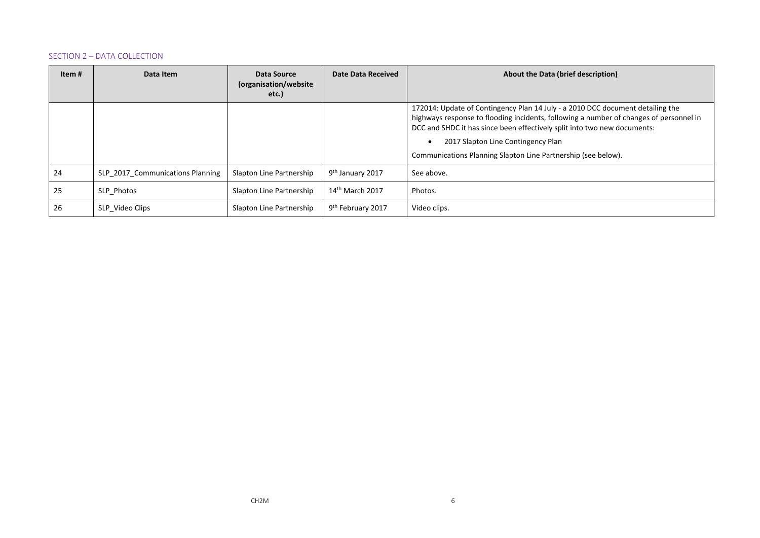#### SECTION 2 – DATA COLLECTION

| Item # | Data Item                        | Data Source<br>(organisation/website<br>etc.) | Date Data Received            | About the Data (brief description)                                                                                                                                                                                                                                                                                                                          |
|--------|----------------------------------|-----------------------------------------------|-------------------------------|-------------------------------------------------------------------------------------------------------------------------------------------------------------------------------------------------------------------------------------------------------------------------------------------------------------------------------------------------------------|
|        |                                  |                                               |                               | 172014: Update of Contingency Plan 14 July - a 2010 DCC document detailing the<br>highways response to flooding incidents, following a number of changes of personnel in<br>DCC and SHDC it has since been effectively split into two new documents:<br>2017 Slapton Line Contingency Plan<br>Communications Planning Slapton Line Partnership (see below). |
| 24     | SLP 2017 Communications Planning | Slapton Line Partnership                      | 9 <sup>th</sup> January 2017  | See above.                                                                                                                                                                                                                                                                                                                                                  |
| 25     | SLP Photos                       | Slapton Line Partnership                      | $14th$ March 2017             | Photos.                                                                                                                                                                                                                                                                                                                                                     |
| 26     | SLP Video Clips                  | Slapton Line Partnership                      | 9 <sup>th</sup> February 2017 | Video clips.                                                                                                                                                                                                                                                                                                                                                |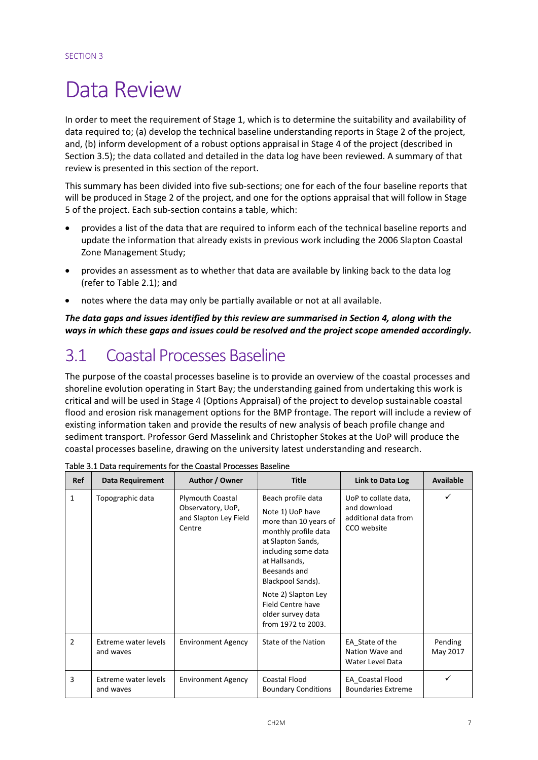# Data Review

In order to meet the requirement of Stage 1, which is to determine the suitability and availability of data required to; (a) develop the technical baseline understanding reports in Stage 2 of the project, and, (b) inform development of a robust options appraisal in Stage 4 of the project (described in Section 3.5); the data collated and detailed in the data log have been reviewed. A summary of that review is presented in this section of the report.

This summary has been divided into five sub‐sections; one for each of the four baseline reports that will be produced in Stage 2 of the project, and one for the options appraisal that will follow in Stage 5 of the project. Each sub‐section contains a table, which:

- provides a list of the data that are required to inform each of the technical baseline reports and update the information that already exists in previous work including the 2006 Slapton Coastal Zone Management Study;
- provides an assessment as to whether that data are available by linking back to the data log (refer to Table 2.1); and
- notes where the data may only be partially available or not at all available.

*The data gaps and issues identified by this review are summarised in Section 4, along with the ways in which these gaps and issues could be resolved and the project scope amended accordingly.*

## 3.1 Coastal Processes Baseline

The purpose of the coastal processes baseline is to provide an overview of the coastal processes and shoreline evolution operating in Start Bay; the understanding gained from undertaking this work is critical and will be used in Stage 4 (Options Appraisal) of the project to develop sustainable coastal flood and erosion risk management options for the BMP frontage. The report will include a review of existing information taken and provide the results of new analysis of beach profile change and sediment transport. Professor Gerd Masselink and Christopher Stokes at the UoP will produce the coastal processes baseline, drawing on the university latest understanding and research.

| Ref            | <b>Data Requirement</b>           | Author / Owner                                                                  | <b>Title</b>                                                                                                                                                                                                                                                                     | Link to Data Log                                                            | <b>Available</b>    |
|----------------|-----------------------------------|---------------------------------------------------------------------------------|----------------------------------------------------------------------------------------------------------------------------------------------------------------------------------------------------------------------------------------------------------------------------------|-----------------------------------------------------------------------------|---------------------|
| $\mathbf{1}$   | Topographic data                  | <b>Plymouth Coastal</b><br>Observatory, UoP,<br>and Slapton Ley Field<br>Centre | Beach profile data<br>Note 1) UoP have<br>more than 10 years of<br>monthly profile data<br>at Slapton Sands,<br>including some data<br>at Hallsands,<br>Beesands and<br>Blackpool Sands).<br>Note 2) Slapton Ley<br>Field Centre have<br>older survey data<br>from 1972 to 2003. | UoP to collate data,<br>and download<br>additional data from<br>CCO website | ✓                   |
| $\overline{2}$ | Extreme water levels<br>and waves | <b>Environment Agency</b>                                                       | State of the Nation                                                                                                                                                                                                                                                              | EA State of the<br>Nation Wave and<br><b>Water Level Data</b>               | Pending<br>May 2017 |
| 3              | Extreme water levels<br>and waves | <b>Environment Agency</b>                                                       | Coastal Flood<br><b>Boundary Conditions</b>                                                                                                                                                                                                                                      | <b>EA</b> Coastal Flood<br><b>Boundaries Extreme</b>                        | ✓                   |

Table 3.1 Data requirements for the Coastal Processes Baseline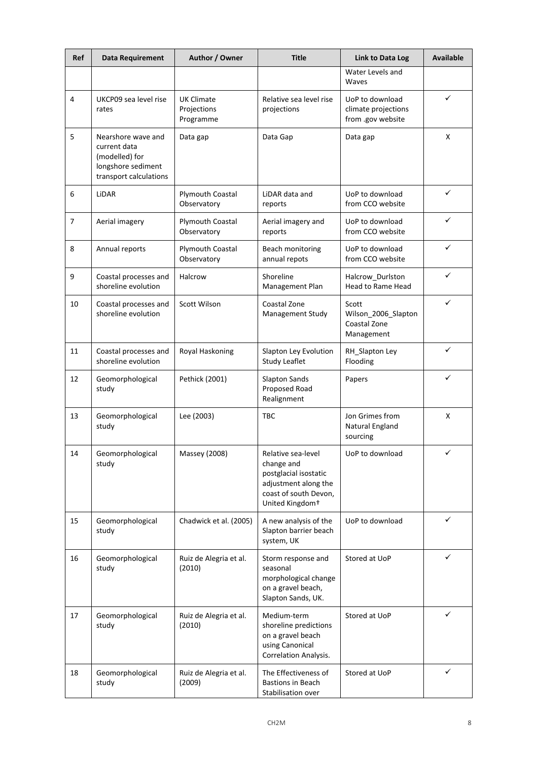| Ref | Data Requirement                                                                                     | Author / Owner                                | <b>Title</b>                                                                                                                              | <b>Link to Data Log</b>                                     | <b>Available</b> |
|-----|------------------------------------------------------------------------------------------------------|-----------------------------------------------|-------------------------------------------------------------------------------------------------------------------------------------------|-------------------------------------------------------------|------------------|
|     |                                                                                                      |                                               |                                                                                                                                           | Water Levels and<br>Waves                                   |                  |
| 4   | UKCP09 sea level rise<br>rates                                                                       | <b>UK Climate</b><br>Projections<br>Programme | Relative sea level rise<br>projections                                                                                                    | UoP to download<br>climate projections<br>from .gov website | ✓                |
| 5   | Nearshore wave and<br>current data<br>(modelled) for<br>longshore sediment<br>transport calculations | Data gap                                      | Data Gap                                                                                                                                  | Data gap                                                    | X                |
| 6   | LiDAR                                                                                                | <b>Plymouth Coastal</b><br>Observatory        | LiDAR data and<br>reports                                                                                                                 | UoP to download<br>from CCO website                         | ✓                |
| 7   | Aerial imagery                                                                                       | Plymouth Coastal<br>Observatory               | Aerial imagery and<br>reports                                                                                                             | UoP to download<br>from CCO website                         | ✓                |
| 8   | Annual reports                                                                                       | Plymouth Coastal<br>Observatory               | Beach monitoring<br>annual repots                                                                                                         | UoP to download<br>from CCO website                         | ✓                |
| 9   | Coastal processes and<br>shoreline evolution                                                         | Halcrow                                       | Shoreline<br>Management Plan                                                                                                              | Halcrow_Durlston<br>Head to Rame Head                       | ✓                |
| 10  | Coastal processes and<br>shoreline evolution                                                         | <b>Scott Wilson</b>                           | Coastal Zone<br>Management Study                                                                                                          | Scott<br>Wilson_2006_Slapton<br>Coastal Zone<br>Management  | ✓                |
| 11  | Coastal processes and<br>shoreline evolution                                                         | Royal Haskoning                               | Slapton Ley Evolution<br><b>Study Leaflet</b>                                                                                             | RH_Slapton Ley<br>Flooding                                  | $\checkmark$     |
| 12  | Geomorphological<br>study                                                                            | Pethick (2001)                                | <b>Slapton Sands</b><br>Proposed Road<br>Realignment                                                                                      | Papers                                                      | ✓                |
| 13  | Geomorphological<br>study                                                                            | Lee (2003)                                    | <b>TBC</b>                                                                                                                                | Jon Grimes from<br>Natural England<br>sourcing              | X                |
| 14  | Geomorphological<br>study                                                                            | Massey (2008)                                 | Relative sea-level<br>change and<br>postglacial isostatic<br>adjustment along the<br>coast of south Devon,<br>United Kingdom <sup>+</sup> | UoP to download                                             | ✓                |
| 15  | Geomorphological<br>study                                                                            | Chadwick et al. (2005)                        | A new analysis of the<br>Slapton barrier beach<br>system, UK                                                                              | UoP to download                                             | ✓                |
| 16  | Geomorphological<br>study                                                                            | Ruiz de Alegria et al.<br>(2010)              | Storm response and<br>seasonal<br>morphological change<br>on a gravel beach,<br>Slapton Sands, UK.                                        | Stored at UoP                                               | ✓                |
| 17  | Geomorphological<br>study                                                                            | Ruiz de Alegria et al.<br>(2010)              | Medium-term<br>shoreline predictions<br>on a gravel beach<br>using Canonical<br>Correlation Analysis.                                     | Stored at UoP                                               | ✓                |
| 18  | Geomorphological<br>study                                                                            | Ruiz de Alegria et al.<br>(2009)              | The Effectiveness of<br><b>Bastions in Beach</b><br>Stabilisation over                                                                    | Stored at UoP                                               | ✓                |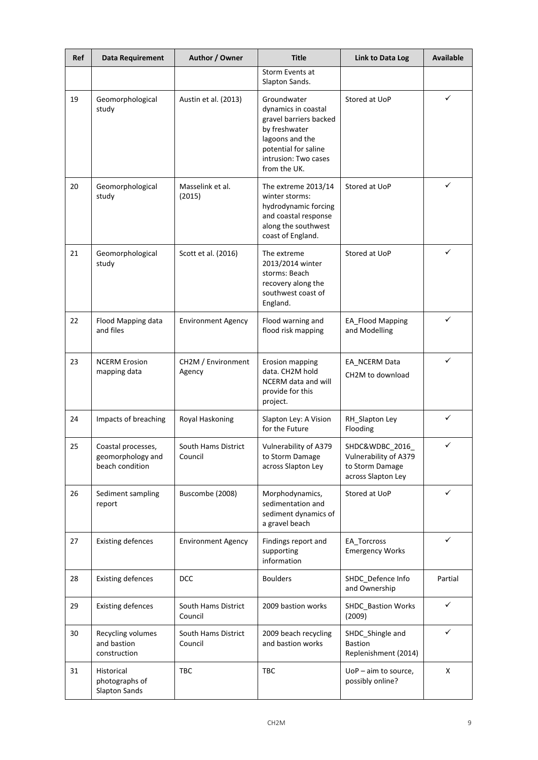| Ref | Data Requirement                                           | Author / Owner                 | <b>Title</b>                                                                                                                                                     | <b>Link to Data Log</b>                                                          | <b>Available</b> |
|-----|------------------------------------------------------------|--------------------------------|------------------------------------------------------------------------------------------------------------------------------------------------------------------|----------------------------------------------------------------------------------|------------------|
|     |                                                            |                                | Storm Events at<br>Slapton Sands.                                                                                                                                |                                                                                  |                  |
| 19  | Geomorphological<br>study                                  | Austin et al. (2013)           | Groundwater<br>dynamics in coastal<br>gravel barriers backed<br>by freshwater<br>lagoons and the<br>potential for saline<br>intrusion: Two cases<br>from the UK. | Stored at UoP                                                                    | ✓                |
| 20  | Geomorphological<br>study                                  | Masselink et al.<br>(2015)     | The extreme 2013/14<br>winter storms:<br>hydrodynamic forcing<br>and coastal response<br>along the southwest<br>coast of England.                                | Stored at UoP                                                                    | ✓                |
| 21  | Geomorphological<br>study                                  | Scott et al. (2016)            | The extreme<br>2013/2014 winter<br>storms: Beach<br>recovery along the<br>southwest coast of<br>England.                                                         | Stored at UoP                                                                    | ✓                |
| 22  | Flood Mapping data<br>and files                            | <b>Environment Agency</b>      | Flood warning and<br>flood risk mapping                                                                                                                          | <b>EA_Flood Mapping</b><br>and Modelling                                         | ✓                |
| 23  | <b>NCERM Erosion</b><br>mapping data                       | CH2M / Environment<br>Agency   | Erosion mapping<br>data. CH2M hold<br>NCERM data and will<br>provide for this<br>project.                                                                        | EA_NCERM Data<br>CH <sub>2</sub> M to download                                   | ✓                |
| 24  | Impacts of breaching                                       | Royal Haskoning                | Slapton Ley: A Vision<br>for the Future                                                                                                                          | RH_Slapton Ley<br>Flooding                                                       | ✓                |
| 25  | Coastal processes,<br>geomorphology and<br>beach condition | South Hams District<br>Council | Vulnerability of A379<br>to Storm Damage<br>across Slapton Ley                                                                                                   | SHDC&WDBC 2016<br>Vulnerability of A379<br>to Storm Damage<br>across Slapton Ley | ✓                |
| 26  | Sediment sampling<br>report                                | Buscombe (2008)                | Morphodynamics,<br>sedimentation and<br>sediment dynamics of<br>a gravel beach                                                                                   | Stored at UoP                                                                    | ✓                |
| 27  | <b>Existing defences</b>                                   | <b>Environment Agency</b>      | Findings report and<br>supporting<br>information                                                                                                                 | EA Torcross<br><b>Emergency Works</b>                                            | ✓                |
| 28  | <b>Existing defences</b>                                   | <b>DCC</b>                     | <b>Boulders</b>                                                                                                                                                  | SHDC_Defence Info<br>and Ownership                                               | Partial          |
| 29  | <b>Existing defences</b>                                   | South Hams District<br>Council | 2009 bastion works                                                                                                                                               | SHDC_Bastion Works<br>(2009)                                                     | ✓                |
| 30  | Recycling volumes<br>and bastion<br>construction           | South Hams District<br>Council | 2009 beach recycling<br>and bastion works                                                                                                                        | SHDC_Shingle and<br><b>Bastion</b><br>Replenishment (2014)                       | ✓                |
| 31  | Historical<br>photographs of<br><b>Slapton Sands</b>       | <b>TBC</b>                     | TBC                                                                                                                                                              | $UoP - aim to source,$<br>possibly online?                                       | X                |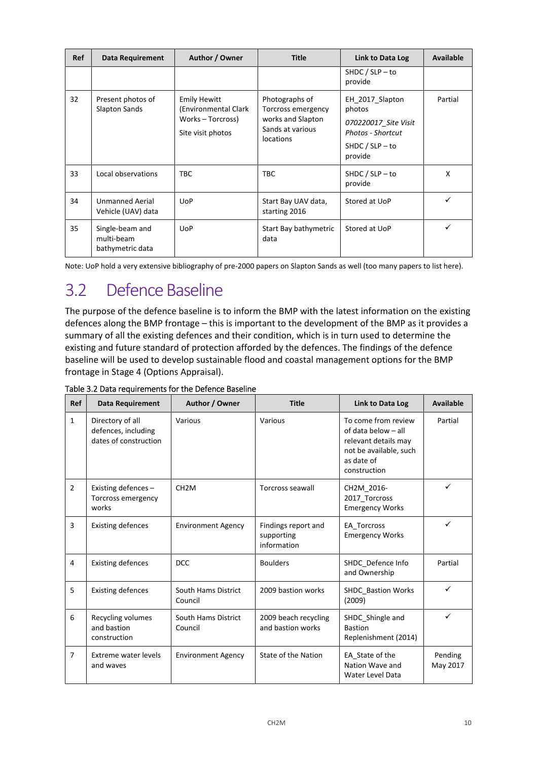| <b>Ref</b> | Data Requirement                                  | Author / Owner                                                                        | <b>Title</b>                                                                                      | Link to Data Log                                                                                       | Available |
|------------|---------------------------------------------------|---------------------------------------------------------------------------------------|---------------------------------------------------------------------------------------------------|--------------------------------------------------------------------------------------------------------|-----------|
|            |                                                   |                                                                                       |                                                                                                   | SHDC / $SLP - to$<br>provide                                                                           |           |
| 32         | Present photos of<br><b>Slapton Sands</b>         | <b>Emily Hewitt</b><br>(Environmental Clark<br>Works - Torcross)<br>Site visit photos | Photographs of<br>Torcross emergency<br>works and Slapton<br>Sands at various<br><b>locations</b> | EH 2017 Slapton<br>photos<br>070220017 Site Visit<br>Photos - Shortcut<br>SHDC / $SLP - to$<br>provide | Partial   |
| 33         | Local observations                                | <b>TBC</b>                                                                            | <b>TBC</b>                                                                                        | SHDC / $SLP - to$<br>provide                                                                           | x         |
| 34         | <b>Unmanned Aerial</b><br>Vehicle (UAV) data      | <b>UoP</b>                                                                            | Start Bay UAV data,<br>starting 2016                                                              | Stored at UoP                                                                                          |           |
| 35         | Single-beam and<br>multi-beam<br>bathymetric data | <b>UoP</b>                                                                            | Start Bay bathymetric<br>data                                                                     | Stored at UoP                                                                                          |           |

Note: UoP hold a very extensive bibliography of pre‐2000 papers on Slapton Sands as well (too many papers to list here).

# 3.2 Defence Baseline

The purpose of the defence baseline is to inform the BMP with the latest information on the existing defences along the BMP frontage – this is important to the development of the BMP as it provides a summary of all the existing defences and their condition, which is in turn used to determine the existing and future standard of protection afforded by the defences. The findings of the defence baseline will be used to develop sustainable flood and coastal management options for the BMP frontage in Stage 4 (Options Appraisal).

| <b>Ref</b>     | <b>Data Requirement</b>                                          | Author / Owner                 | <b>Title</b>                                     | Link to Data Log                                                                                                           | <b>Available</b>    |
|----------------|------------------------------------------------------------------|--------------------------------|--------------------------------------------------|----------------------------------------------------------------------------------------------------------------------------|---------------------|
| $\mathbf{1}$   | Directory of all<br>defences, including<br>dates of construction | Various                        | Various                                          | To come from review<br>of data below - all<br>relevant details may<br>not be available, such<br>as date of<br>construction | Partial             |
| $\overline{2}$ | Existing defences-<br>Torcross emergency<br>works                | CH <sub>2</sub> M              | <b>Torcross seawall</b>                          | CH2M_2016-<br>2017_Torcross<br><b>Emergency Works</b>                                                                      | ✓                   |
| 3              | <b>Existing defences</b>                                         | <b>Environment Agency</b>      | Findings report and<br>supporting<br>information | EA Torcross<br><b>Emergency Works</b>                                                                                      | ✓                   |
| 4              | <b>Existing defences</b>                                         | <b>DCC</b>                     | <b>Boulders</b>                                  | SHDC_Defence Info<br>and Ownership                                                                                         | Partial             |
| 5              | <b>Existing defences</b>                                         | South Hams District<br>Council | 2009 bastion works                               | <b>SHDC Bastion Works</b><br>(2009)                                                                                        | ✓                   |
| 6              | Recycling volumes<br>and bastion<br>construction                 | South Hams District<br>Council | 2009 beach recycling<br>and bastion works        | SHDC Shingle and<br><b>Bastion</b><br>Replenishment (2014)                                                                 | $\checkmark$        |
| 7              | Extreme water levels<br>and waves                                | <b>Environment Agency</b>      | State of the Nation                              | EA State of the<br>Nation Wave and<br><b>Water Level Data</b>                                                              | Pending<br>May 2017 |

Table 3.2 Data requirements for the Defence Baseline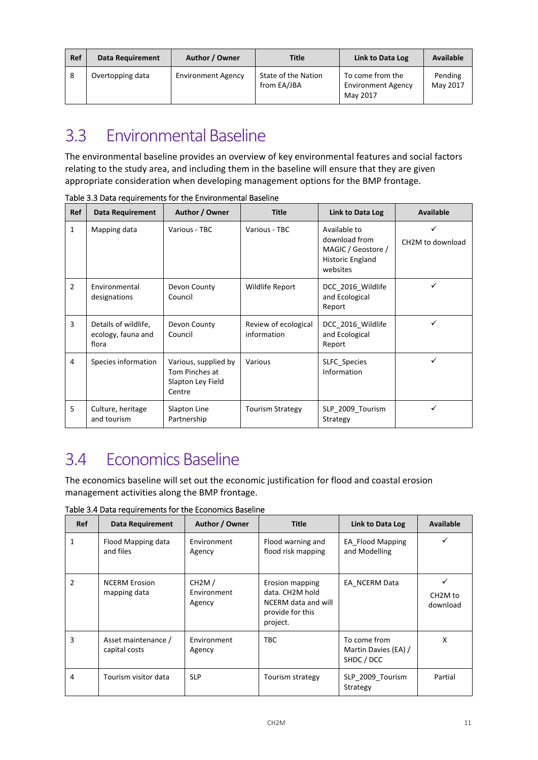| Ref | <b>Data Requirement</b> | Author / Owner            | <b>Title</b>                       | Link to Data Log                                          | Available           |
|-----|-------------------------|---------------------------|------------------------------------|-----------------------------------------------------------|---------------------|
| -8  | Overtopping data        | <b>Environment Agency</b> | State of the Nation<br>from EA/JBA | To come from the<br><b>Environment Agency</b><br>May 2017 | Pending<br>May 2017 |

## 3.3 Fnvironmental Baseline

The environmental baseline provides an overview of key environmental features and social factors relating to the study area, and including them in the baseline will ensure that they are given appropriate consideration when developing management options for the BMP frontage.

| <b>Ref</b>     | <b>Data Requirement</b>                             | Author / Owner                                                        | <b>Title</b>                        | Link to Data Log                                                                    | <b>Available</b>              |
|----------------|-----------------------------------------------------|-----------------------------------------------------------------------|-------------------------------------|-------------------------------------------------------------------------------------|-------------------------------|
| 1              | Mapping data                                        | Various - TBC                                                         | Various - TBC                       | Available to<br>download from<br>MAGIC / Geostore /<br>Historic England<br>websites | CH <sub>2</sub> M to download |
| $\overline{2}$ | Environmental<br>designations                       | Devon County<br>Council                                               | Wildlife Report                     | DCC_2016_Wildlife<br>and Ecological<br>Report                                       |                               |
| 3              | Details of wildlife,<br>ecology, fauna and<br>flora | Devon County<br>Council                                               | Review of ecological<br>information | DCC 2016 Wildlife<br>and Ecological<br>Report                                       | ✓                             |
| 4              | Species information                                 | Various, supplied by<br>Tom Pinches at<br>Slapton Ley Field<br>Centre | Various                             | <b>SLFC Species</b><br>Information                                                  | ✓                             |
| 5              | Culture, heritage<br>and tourism                    | Slapton Line<br>Partnership                                           | <b>Tourism Strategy</b>             | SLP 2009 Tourism<br>Strategy                                                        |                               |

Table 3.3 Data requirements for the Environmental Baseline

# 3.4 Economics Baseline

The economics baseline will set out the economic justification for flood and coastal erosion management activities along the BMP frontage.

**Ref Data Requirement Author / Owner Title Link to Data Log Available** 1 Flood Mapping data and files Environment Agency Flood warning and flood risk mapping EA\_Flood Mapping and Modelling ✓ 2 | NCERM Erosion mapping data CH2M / Environment Agency Erosion mapping data. CH2M hold NCERM data and will provide for this project. EA\_NCERM Data  $\overrightarrow{ }$ CH2M to download 3 Asset maintenance / capital costs Environment Agency TBC TBC To come from Martin Davies (EA) / SHDC / DCC X 4 | Tourism visitor data | SLP | Tourism strategy | SLP\_2009\_Tourism Strategy Partial

Table 3.4 Data requirements for the Economics Baseline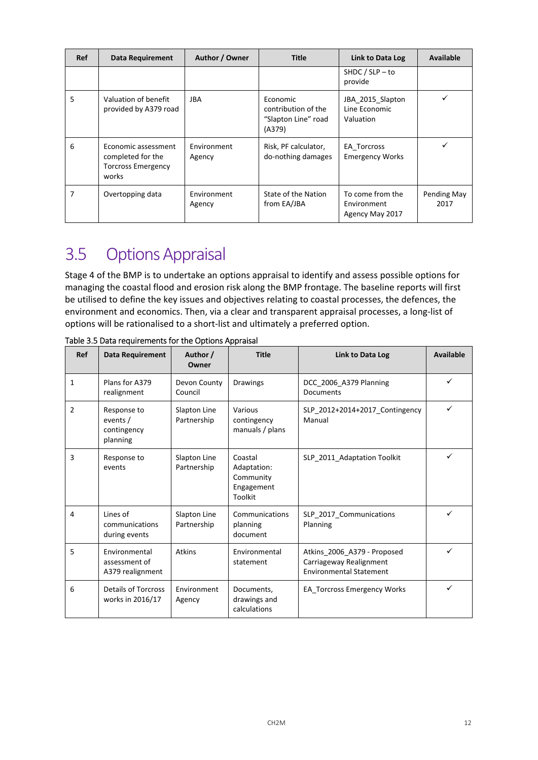| <b>Ref</b> | <b>Data Requirement</b>                                                        | Author / Owner        | <b>Title</b>                                                     | Link to Data Log                                   | <b>Available</b>    |
|------------|--------------------------------------------------------------------------------|-----------------------|------------------------------------------------------------------|----------------------------------------------------|---------------------|
|            |                                                                                |                       |                                                                  | SHDC / $SLP - to$<br>provide                       |                     |
| 5          | Valuation of benefit<br>provided by A379 road                                  | JBA                   | Economic<br>contribution of the<br>"Slapton Line" road<br>(A379) | JBA 2015 Slapton<br>Line Economic<br>Valuation     |                     |
| 6          | Economic assessment<br>completed for the<br><b>Torcross Emergency</b><br>works | Environment<br>Agency | Risk, PF calculator,<br>do-nothing damages                       | EA Torcross<br><b>Emergency Works</b>              |                     |
| 7          | Overtopping data                                                               | Environment<br>Agency | State of the Nation<br>from EA/JBA                               | To come from the<br>Environment<br>Agency May 2017 | Pending May<br>2017 |

# 3.5 OptionsAppraisal

Stage 4 of the BMP is to undertake an options appraisal to identify and assess possible options for managing the coastal flood and erosion risk along the BMP frontage. The baseline reports will first be utilised to define the key issues and objectives relating to coastal processes, the defences, the environment and economics. Then, via a clear and transparent appraisal processes, a long‐list of options will be rationalised to a short‐list and ultimately a preferred option.

| Ref            | <b>Data Requirement</b>                            | Author /<br>Owner           | <b>Title</b>                                                        | Link to Data Log                                                                         | <b>Available</b> |
|----------------|----------------------------------------------------|-----------------------------|---------------------------------------------------------------------|------------------------------------------------------------------------------------------|------------------|
| $\mathbf{1}$   | Plans for A379<br>realignment                      | Devon County<br>Council     | <b>Drawings</b>                                                     | DCC_2006_A379 Planning<br>Documents                                                      | ✓                |
| $\overline{2}$ | Response to<br>events /<br>contingency<br>planning | Slapton Line<br>Partnership | Various<br>contingency<br>manuals / plans                           | SLP_2012+2014+2017_Contingency<br>Manual                                                 | ✓                |
| 3              | Response to<br>events                              | Slapton Line<br>Partnership | Coastal<br>Adaptation:<br>Community<br>Engagement<br><b>Toolkit</b> | SLP 2011 Adaptation Toolkit                                                              | ✓                |
| $\overline{4}$ | Lines of<br>communications<br>during events        | Slapton Line<br>Partnership | Communications<br>planning<br>document                              | SLP 2017 Communications<br>Planning                                                      | ✓                |
| 5              | Environmental<br>assessment of<br>A379 realignment | <b>Atkins</b>               | Environmental<br>statement                                          | Atkins 2006 A379 - Proposed<br>Carriageway Realignment<br><b>Environmental Statement</b> | ✓                |
| 6              | <b>Details of Torcross</b><br>works in 2016/17     | Environment<br>Agency       | Documents,<br>drawings and<br>calculations                          | EA Torcross Emergency Works                                                              | ✓                |

Table 3.5 Data requirements for the Options Appraisal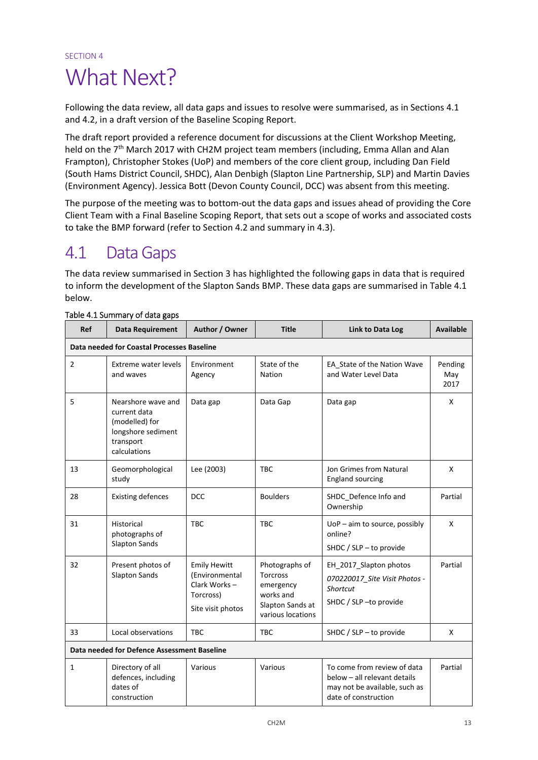## SECTION 4 What Next?

Following the data review, all data gaps and issues to resolve were summarised, as in Sections 4.1 and 4.2, in a draft version of the Baseline Scoping Report.

The draft report provided a reference document for discussions at the Client Workshop Meeting, held on the 7<sup>th</sup> March 2017 with CH2M project team members (including, Emma Allan and Alan Frampton), Christopher Stokes (UoP) and members of the core client group, including Dan Field (South Hams District Council, SHDC), Alan Denbigh (Slapton Line Partnership, SLP) and Martin Davies (Environment Agency). Jessica Bott (Devon County Council, DCC) was absent from this meeting.

The purpose of the meeting was to bottom-out the data gaps and issues ahead of providing the Core Client Team with a Final Baseline Scoping Report, that sets out a scope of works and associated costs to take the BMP forward (refer to Section 4.2 and summary in 4.3).

### 4.1 DataGaps

The data review summarised in Section 3 has highlighted the following gaps in data that is required to inform the development of the Slapton Sands BMP. These data gaps are summarised in Table 4.1 below.

| <b>Ref</b>     | Data Requirement                                                                                        | Author / Owner                                                                          | <b>Title</b>                                                                                  | Link to Data Log                                                                                                     | <b>Available</b>       |
|----------------|---------------------------------------------------------------------------------------------------------|-----------------------------------------------------------------------------------------|-----------------------------------------------------------------------------------------------|----------------------------------------------------------------------------------------------------------------------|------------------------|
|                | Data needed for Coastal Processes Baseline                                                              |                                                                                         |                                                                                               |                                                                                                                      |                        |
| $\overline{2}$ | Extreme water levels<br>and waves                                                                       | Environment<br>Agency                                                                   | State of the<br>Nation                                                                        | EA_State of the Nation Wave<br>and Water Level Data                                                                  | Pending<br>May<br>2017 |
| 5              | Nearshore wave and<br>current data<br>(modelled) for<br>longshore sediment<br>transport<br>calculations | Data gap                                                                                | Data Gap                                                                                      | Data gap                                                                                                             | X                      |
| 13             | Geomorphological<br>study                                                                               | Lee (2003)                                                                              | <b>TBC</b>                                                                                    | Jon Grimes from Natural<br><b>England sourcing</b>                                                                   | X                      |
| 28             | <b>Existing defences</b>                                                                                | <b>DCC</b>                                                                              | <b>Boulders</b>                                                                               | SHDC Defence Info and<br>Ownership                                                                                   | Partial                |
| 31             | Historical<br>photographs of<br><b>Slapton Sands</b>                                                    | <b>TBC</b>                                                                              | <b>TBC</b>                                                                                    | $UoP - aim to source, possibly$<br>online?<br>SHDC / SLP - to provide                                                | X                      |
| 32             | Present photos of<br><b>Slapton Sands</b>                                                               | <b>Emily Hewitt</b><br>(Environmental<br>Clark Works-<br>Torcross)<br>Site visit photos | Photographs of<br>Torcross<br>emergency<br>works and<br>Slapton Sands at<br>various locations | EH_2017_Slapton photos<br>070220017 Site Visit Photos -<br>Shortcut<br>SHDC / SLP-to provide                         | Partial                |
| 33             | Local observations                                                                                      | <b>TBC</b>                                                                              | <b>TBC</b>                                                                                    | SHDC / SLP - to provide                                                                                              | X                      |
|                | Data needed for Defence Assessment Baseline                                                             |                                                                                         |                                                                                               |                                                                                                                      |                        |
| $\mathbf{1}$   | Directory of all<br>defences, including<br>dates of<br>construction                                     | Various                                                                                 | Various                                                                                       | To come from review of data<br>below - all relevant details<br>may not be available, such as<br>date of construction | Partial                |

#### Table 4.1 Summary of data gaps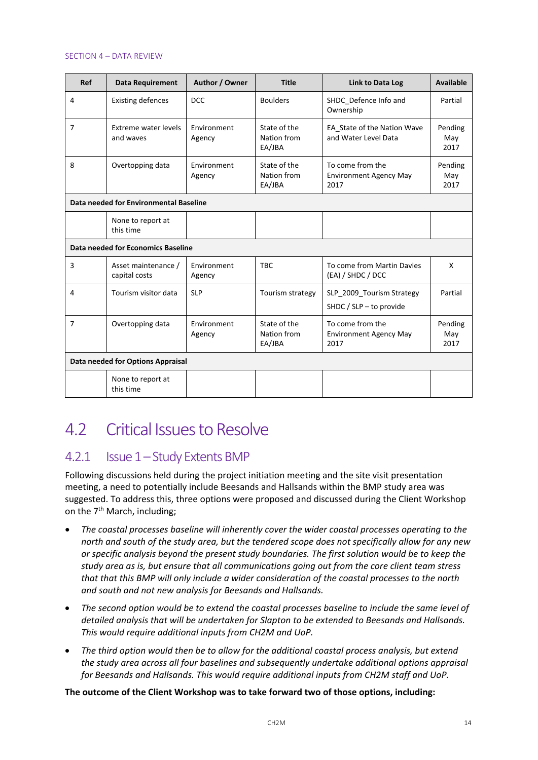#### SECTION 4 – DATA REVIEW

| Ref            | <b>Data Requirement</b>                | Author / Owner        | <b>Title</b>                          | Link to Data Log                                          | <b>Available</b>       |
|----------------|----------------------------------------|-----------------------|---------------------------------------|-----------------------------------------------------------|------------------------|
| $\overline{4}$ | <b>Existing defences</b>               | <b>DCC</b>            | <b>Boulders</b>                       | SHDC_Defence Info and<br>Ownership                        | Partial                |
| 7              | Extreme water levels<br>and waves      | Environment<br>Agency | State of the<br>Nation from<br>EA/JBA | EA State of the Nation Wave<br>and Water Level Data       | Pending<br>May<br>2017 |
| 8              | Overtopping data                       | Environment<br>Agency | State of the<br>Nation from<br>EA/JBA | To come from the<br><b>Environment Agency May</b><br>2017 | Pending<br>May<br>2017 |
|                | Data needed for Environmental Baseline |                       |                                       |                                                           |                        |
|                | None to report at<br>this time         |                       |                                       |                                                           |                        |
|                | Data needed for Economics Baseline     |                       |                                       |                                                           |                        |
| 3              | Asset maintenance /<br>capital costs   | Environment<br>Agency | <b>TBC</b>                            | To come from Martin Davies<br>(EA) / SHDC / DCC           | X                      |
| 4              | Tourism visitor data                   | <b>SLP</b>            | Tourism strategy                      | SLP_2009_Tourism Strategy<br>SHDC / SLP $-$ to provide    | Partial                |
| 7              | Overtopping data                       | Environment<br>Agency | State of the<br>Nation from<br>EA/JBA | To come from the<br><b>Environment Agency May</b><br>2017 | Pending<br>May<br>2017 |
|                | Data needed for Options Appraisal      |                       |                                       |                                                           |                        |
|                | None to report at<br>this time         |                       |                                       |                                                           |                        |

## 4.2 Critical Issues to Resolve

### 4.2.1 Issue 1-Study Extents BMP

Following discussions held during the project initiation meeting and the site visit presentation meeting, a need to potentially include Beesands and Hallsands within the BMP study area was suggested. To address this, three options were proposed and discussed during the Client Workshop on the  $7<sup>th</sup>$  March, including;

- *The coastal processes baseline will inherently cover the wider coastal processes operating to the north and south of the study area, but the tendered scope does not specifically allow for any new or specific analysis beyond the present study boundaries. The first solution would be to keep the study area as is, but ensure that all communications going out from the core client team stress that that this BMP will only include a wider consideration of the coastal processes to the north and south and not new analysis for Beesands and Hallsands.*
- *The second option would be to extend the coastal processes baseline to include the same level of detailed analysis that will be undertaken for Slapton to be extended to Beesands and Hallsands. This would require additional inputs from CH2M and UoP.*
- *The third option would then be to allow for the additional coastal process analysis, but extend the study area across all four baselines and subsequently undertake additional options appraisal for Beesands and Hallsands. This would require additional inputs from CH2M staff and UoP.*

**The outcome of the Client Workshop was to take forward two of those options, including:**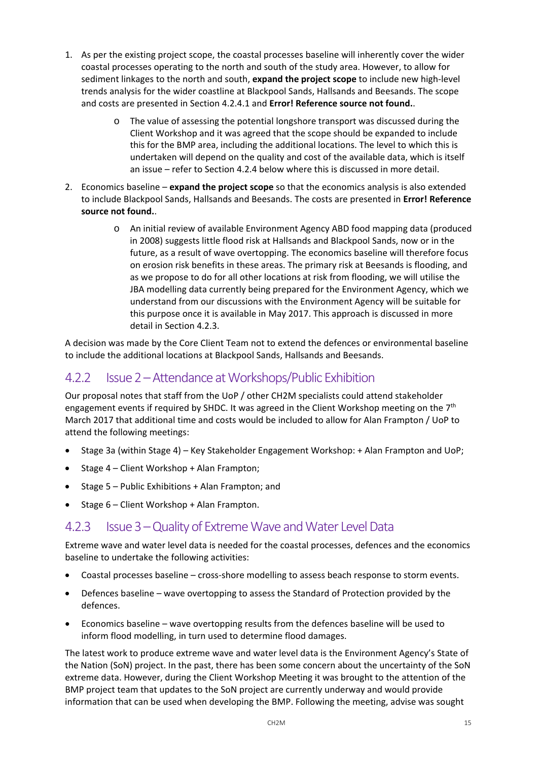- 1. As per the existing project scope, the coastal processes baseline will inherently cover the wider coastal processes operating to the north and south of the study area. However, to allow for sediment linkages to the north and south, **expand the project scope** to include new high‐level trends analysis for the wider coastline at Blackpool Sands, Hallsands and Beesands. The scope and costs are presented in Section 4.2.4.1 and **Error! Reference source not found.**.
	- o The value of assessing the potential longshore transport was discussed during the Client Workshop and it was agreed that the scope should be expanded to include this for the BMP area, including the additional locations. The level to which this is undertaken will depend on the quality and cost of the available data, which is itself an issue – refer to Section 4.2.4 below where this is discussed in more detail.
- 2. Economics baseline **expand the project scope** so that the economics analysis is also extended to include Blackpool Sands, Hallsands and Beesands. The costs are presented in **Error! Reference source not found.**.
	- o An initial review of available Environment Agency ABD food mapping data (produced in 2008) suggests little flood risk at Hallsands and Blackpool Sands, now or in the future, as a result of wave overtopping. The economics baseline will therefore focus on erosion risk benefits in these areas. The primary risk at Beesands is flooding, and as we propose to do for all other locations at risk from flooding, we will utilise the JBA modelling data currently being prepared for the Environment Agency, which we understand from our discussions with the Environment Agency will be suitable for this purpose once it is available in May 2017. This approach is discussed in more detail in Section 4.2.3.

A decision was made by the Core Client Team not to extend the defences or environmental baseline to include the additional locations at Blackpool Sands, Hallsands and Beesands.

### 4.2.2 Issue 2 – Attendance at Workshops/Public Exhibition

Our proposal notes that staff from the UoP / other CH2M specialists could attend stakeholder engagement events if required by SHDC. It was agreed in the Client Workshop meeting on the 7<sup>th</sup> March 2017 that additional time and costs would be included to allow for Alan Frampton / UoP to attend the following meetings:

- Stage 3a (within Stage 4) Key Stakeholder Engagement Workshop: + Alan Frampton and UoP;
- Stage 4 Client Workshop + Alan Frampton;
- Stage 5 Public Exhibitions + Alan Frampton; and
- Stage 6 Client Workshop + Alan Frampton.

### 4.2.3 Issue 3 – Quality of Extreme Wave and Water Level Data

Extreme wave and water level data is needed for the coastal processes, defences and the economics baseline to undertake the following activities:

- Coastal processes baseline cross‐shore modelling to assess beach response to storm events.
- Defences baseline wave overtopping to assess the Standard of Protection provided by the defences.
- Economics baseline wave overtopping results from the defences baseline will be used to inform flood modelling, in turn used to determine flood damages.

The latest work to produce extreme wave and water level data is the Environment Agency's State of the Nation (SoN) project. In the past, there has been some concern about the uncertainty of the SoN extreme data. However, during the Client Workshop Meeting it was brought to the attention of the BMP project team that updates to the SoN project are currently underway and would provide information that can be used when developing the BMP. Following the meeting, advise was sought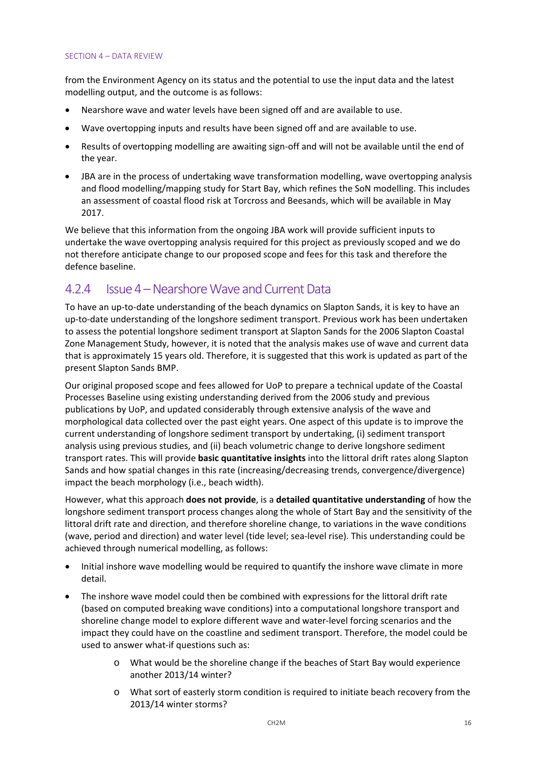#### SECTION 4 – DATA REVIEW

from the Environment Agency on its status and the potential to use the input data and the latest modelling output, and the outcome is as follows:

- Nearshore wave and water levels have been signed off and are available to use.
- Wave overtopping inputs and results have been signed off and are available to use.
- Results of overtopping modelling are awaiting sign‐off and will not be available until the end of the year.
- JBA are in the process of undertaking wave transformation modelling, wave overtopping analysis and flood modelling/mapping study for Start Bay, which refines the SoN modelling. This includes an assessment of coastal flood risk at Torcross and Beesands, which will be available in May 2017.

We believe that this information from the ongoing JBA work will provide sufficient inputs to undertake the wave overtopping analysis required for this project as previously scoped and we do not therefore anticipate change to our proposed scope and fees for this task and therefore the defence baseline.

### 4.2.4 Issue 4 – Nearshore Wave and Current Data

To have an up‐to‐date understanding of the beach dynamics on Slapton Sands, it is key to have an up-to-date understanding of the longshore sediment transport. Previous work has been undertaken to assess the potential longshore sediment transport at Slapton Sands for the 2006 Slapton Coastal Zone Management Study, however, it is noted that the analysis makes use of wave and current data that is approximately 15 years old. Therefore, it is suggested that this work is updated as part of the present Slapton Sands BMP.

Our original proposed scope and fees allowed for UoP to prepare a technical update of the Coastal Processes Baseline using existing understanding derived from the 2006 study and previous publications by UoP, and updated considerably through extensive analysis of the wave and morphological data collected over the past eight years. One aspect of this update is to improve the current understanding of longshore sediment transport by undertaking, (i) sediment transport analysis using previous studies, and (ii) beach volumetric change to derive longshore sediment transport rates. This will provide **basic quantitative insights** into the littoral drift rates along Slapton Sands and how spatial changes in this rate (increasing/decreasing trends, convergence/divergence) impact the beach morphology (i.e., beach width).

However, what this approach **does not provide**, is a **detailed quantitative understanding** of how the longshore sediment transport process changes along the whole of Start Bay and the sensitivity of the littoral drift rate and direction, and therefore shoreline change, to variations in the wave conditions (wave, period and direction) and water level (tide level; sea‐level rise). This understanding could be achieved through numerical modelling, as follows:

- Initial inshore wave modelling would be required to quantify the inshore wave climate in more detail.
- The inshore wave model could then be combined with expressions for the littoral drift rate (based on computed breaking wave conditions) into a computational longshore transport and shoreline change model to explore different wave and water‐level forcing scenarios and the impact they could have on the coastline and sediment transport. Therefore, the model could be used to answer what-if questions such as:
	- o What would be the shoreline change if the beaches of Start Bay would experience another 2013/14 winter?
	- o What sort of easterly storm condition is required to initiate beach recovery from the 2013/14 winter storms?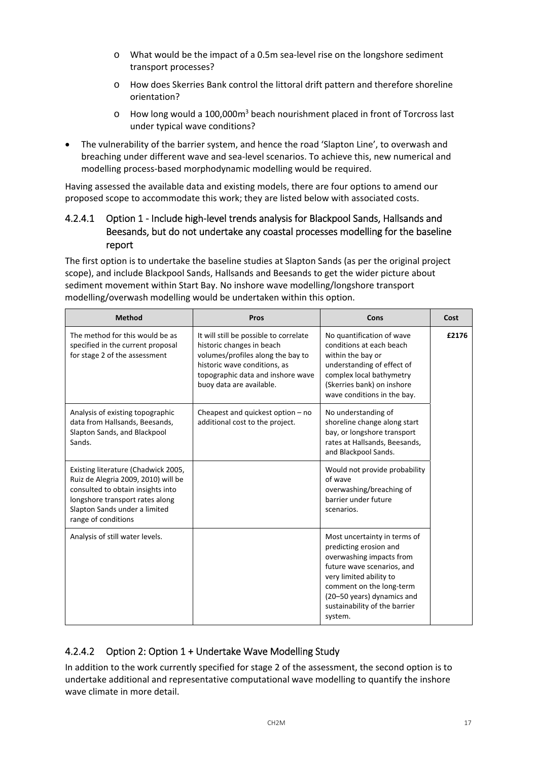- o What would be the impact of a 0.5m sea‐level rise on the longshore sediment transport processes?
- o How does Skerries Bank control the littoral drift pattern and therefore shoreline orientation?
- o How long would a 100,000m3 beach nourishment placed in front of Torcross last under typical wave conditions?
- The vulnerability of the barrier system, and hence the road 'Slapton Line', to overwash and breaching under different wave and sea‐level scenarios. To achieve this, new numerical and modelling process‐based morphodynamic modelling would be required.

Having assessed the available data and existing models, there are four options to amend our proposed scope to accommodate this work; they are listed below with associated costs.

### 4.2.4.1 Option 1 - Include high-level trends analysis for Blackpool Sands, Hallsands and Beesands, but do not undertake any coastal processes modelling for the baseline report

The first option is to undertake the baseline studies at Slapton Sands (as per the original project scope), and include Blackpool Sands, Hallsands and Beesands to get the wider picture about sediment movement within Start Bay. No inshore wave modelling/longshore transport modelling/overwash modelling would be undertaken within this option.

| <b>Method</b>                                                                                                                                                                                              | Pros                                                                                                                                                                                                      | Cons                                                                                                                                                                                                                                              | Cost  |
|------------------------------------------------------------------------------------------------------------------------------------------------------------------------------------------------------------|-----------------------------------------------------------------------------------------------------------------------------------------------------------------------------------------------------------|---------------------------------------------------------------------------------------------------------------------------------------------------------------------------------------------------------------------------------------------------|-------|
| The method for this would be as<br>specified in the current proposal<br>for stage 2 of the assessment                                                                                                      | It will still be possible to correlate<br>historic changes in beach<br>volumes/profiles along the bay to<br>historic wave conditions, as<br>topographic data and inshore wave<br>buoy data are available. | No quantification of wave<br>conditions at each beach<br>within the bay or<br>understanding of effect of<br>complex local bathymetry<br>(Skerries bank) on inshore<br>wave conditions in the bay.                                                 | £2176 |
| Analysis of existing topographic<br>data from Hallsands, Beesands,<br>Slapton Sands, and Blackpool<br>Sands.                                                                                               | Cheapest and quickest option $-$ no<br>additional cost to the project.                                                                                                                                    | No understanding of<br>shoreline change along start<br>bay, or longshore transport<br>rates at Hallsands, Beesands,<br>and Blackpool Sands.                                                                                                       |       |
| Existing literature (Chadwick 2005,<br>Ruiz de Alegria 2009, 2010) will be<br>consulted to obtain insights into<br>longshore transport rates along<br>Slapton Sands under a limited<br>range of conditions |                                                                                                                                                                                                           | Would not provide probability<br>of wave<br>overwashing/breaching of<br>barrier under future<br>scenarios.                                                                                                                                        |       |
| Analysis of still water levels.                                                                                                                                                                            |                                                                                                                                                                                                           | Most uncertainty in terms of<br>predicting erosion and<br>overwashing impacts from<br>future wave scenarios, and<br>very limited ability to<br>comment on the long-term<br>(20-50 years) dynamics and<br>sustainability of the barrier<br>system. |       |

### 4.2.4.2 Option 2: Option 1 + Undertake Wave Modelling Study

In addition to the work currently specified for stage 2 of the assessment, the second option is to undertake additional and representative computational wave modelling to quantify the inshore wave climate in more detail.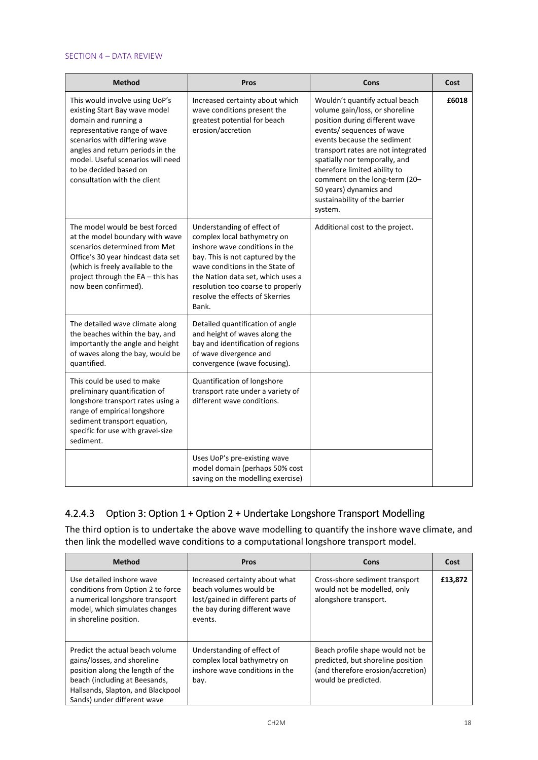#### SECTION 4 – DATA REVIEW

| <b>Method</b>                                                                                                                                                                                                                                                                               | Pros                                                                                                                                                                                                                                                                                     | Cons                                                                                                                                                                                                                                                                                                                                                                         | Cost  |
|---------------------------------------------------------------------------------------------------------------------------------------------------------------------------------------------------------------------------------------------------------------------------------------------|------------------------------------------------------------------------------------------------------------------------------------------------------------------------------------------------------------------------------------------------------------------------------------------|------------------------------------------------------------------------------------------------------------------------------------------------------------------------------------------------------------------------------------------------------------------------------------------------------------------------------------------------------------------------------|-------|
| This would involve using UoP's<br>existing Start Bay wave model<br>domain and running a<br>representative range of wave<br>scenarios with differing wave<br>angles and return periods in the<br>model. Useful scenarios will need<br>to be decided based on<br>consultation with the client | Increased certainty about which<br>wave conditions present the<br>greatest potential for beach<br>erosion/accretion                                                                                                                                                                      | Wouldn't quantify actual beach<br>volume gain/loss, or shoreline<br>position during different wave<br>events/ sequences of wave<br>events because the sediment<br>transport rates are not integrated<br>spatially nor temporally, and<br>therefore limited ability to<br>comment on the long-term (20-<br>50 years) dynamics and<br>sustainability of the barrier<br>system. | £6018 |
| The model would be best forced<br>at the model boundary with wave<br>scenarios determined from Met<br>Office's 30 year hindcast data set<br>(which is freely available to the<br>project through the EA - this has<br>now been confirmed).                                                  | Understanding of effect of<br>complex local bathymetry on<br>inshore wave conditions in the<br>bay. This is not captured by the<br>wave conditions in the State of<br>the Nation data set, which uses a<br>resolution too coarse to properly<br>resolve the effects of Skerries<br>Bank. | Additional cost to the project.                                                                                                                                                                                                                                                                                                                                              |       |
| The detailed wave climate along<br>the beaches within the bay, and<br>importantly the angle and height<br>of waves along the bay, would be<br>quantified.                                                                                                                                   | Detailed quantification of angle<br>and height of waves along the<br>bay and identification of regions<br>of wave divergence and<br>convergence (wave focusing).                                                                                                                         |                                                                                                                                                                                                                                                                                                                                                                              |       |
| This could be used to make<br>preliminary quantification of<br>longshore transport rates using a<br>range of empirical longshore<br>sediment transport equation,<br>specific for use with gravel-size<br>sediment.                                                                          | Quantification of longshore<br>transport rate under a variety of<br>different wave conditions.                                                                                                                                                                                           |                                                                                                                                                                                                                                                                                                                                                                              |       |
|                                                                                                                                                                                                                                                                                             | Uses UoP's pre-existing wave<br>model domain (perhaps 50% cost<br>saving on the modelling exercise)                                                                                                                                                                                      |                                                                                                                                                                                                                                                                                                                                                                              |       |

### 4.2.4.3 Option 3: Option 1 + Option 2 + Undertake Longshore Transport Modelling

The third option is to undertake the above wave modelling to quantify the inshore wave climate, and then link the modelled wave conditions to a computational longshore transport model.

| <b>Method</b>                                                                                                                                                                                           | <b>Pros</b>                                                                                                                               | Cons                                                                                                                              | Cost    |
|---------------------------------------------------------------------------------------------------------------------------------------------------------------------------------------------------------|-------------------------------------------------------------------------------------------------------------------------------------------|-----------------------------------------------------------------------------------------------------------------------------------|---------|
| Use detailed inshore wave<br>conditions from Option 2 to force<br>a numerical longshore transport<br>model, which simulates changes<br>in shoreline position.                                           | Increased certainty about what<br>beach volumes would be<br>lost/gained in different parts of<br>the bay during different wave<br>events. | Cross-shore sediment transport<br>would not be modelled, only<br>alongshore transport.                                            | £13,872 |
| Predict the actual beach volume<br>gains/losses, and shoreline<br>position along the length of the<br>beach (including at Beesands,<br>Hallsands, Slapton, and Blackpool<br>Sands) under different wave | Understanding of effect of<br>complex local bathymetry on<br>inshore wave conditions in the<br>bay.                                       | Beach profile shape would not be<br>predicted, but shoreline position<br>(and therefore erosion/accretion)<br>would be predicted. |         |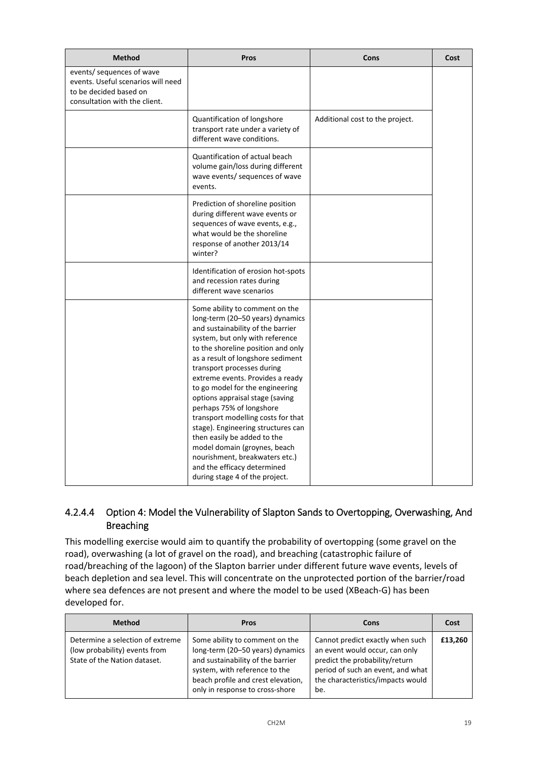| <b>Method</b>                                                                                                              | Pros                                                                                                                                                                                                                                                                                                                                                                                                                                                                                                                                                                                                                                    | Cons                            | Cost |
|----------------------------------------------------------------------------------------------------------------------------|-----------------------------------------------------------------------------------------------------------------------------------------------------------------------------------------------------------------------------------------------------------------------------------------------------------------------------------------------------------------------------------------------------------------------------------------------------------------------------------------------------------------------------------------------------------------------------------------------------------------------------------------|---------------------------------|------|
| events/ sequences of wave<br>events. Useful scenarios will need<br>to be decided based on<br>consultation with the client. |                                                                                                                                                                                                                                                                                                                                                                                                                                                                                                                                                                                                                                         |                                 |      |
|                                                                                                                            | Quantification of longshore<br>transport rate under a variety of<br>different wave conditions.                                                                                                                                                                                                                                                                                                                                                                                                                                                                                                                                          | Additional cost to the project. |      |
|                                                                                                                            | Quantification of actual beach<br>volume gain/loss during different<br>wave events/ sequences of wave<br>events.                                                                                                                                                                                                                                                                                                                                                                                                                                                                                                                        |                                 |      |
|                                                                                                                            | Prediction of shoreline position<br>during different wave events or<br>sequences of wave events, e.g.,<br>what would be the shoreline<br>response of another 2013/14<br>winter?                                                                                                                                                                                                                                                                                                                                                                                                                                                         |                                 |      |
|                                                                                                                            | Identification of erosion hot-spots<br>and recession rates during<br>different wave scenarios                                                                                                                                                                                                                                                                                                                                                                                                                                                                                                                                           |                                 |      |
|                                                                                                                            | Some ability to comment on the<br>long-term (20-50 years) dynamics<br>and sustainability of the barrier<br>system, but only with reference<br>to the shoreline position and only<br>as a result of longshore sediment<br>transport processes during<br>extreme events. Provides a ready<br>to go model for the engineering<br>options appraisal stage (saving<br>perhaps 75% of longshore<br>transport modelling costs for that<br>stage). Engineering structures can<br>then easily be added to the<br>model domain (groynes, beach<br>nourishment, breakwaters etc.)<br>and the efficacy determined<br>during stage 4 of the project. |                                 |      |

### 4.2.4.4 Option 4: Model the Vulnerability of Slapton Sands to Overtopping, Overwashing, And Breaching

This modelling exercise would aim to quantify the probability of overtopping (some gravel on the road), overwashing (a lot of gravel on the road), and breaching (catastrophic failure of road/breaching of the lagoon) of the Slapton barrier under different future wave events, levels of beach depletion and sea level. This will concentrate on the unprotected portion of the barrier/road where sea defences are not present and where the model to be used (XBeach‐G) has been developed for.

| <b>Method</b>                                                                                     | <b>Pros</b>                                                                                                                                                                                                       | Cons                                                                                                                                                                                  | Cost    |
|---------------------------------------------------------------------------------------------------|-------------------------------------------------------------------------------------------------------------------------------------------------------------------------------------------------------------------|---------------------------------------------------------------------------------------------------------------------------------------------------------------------------------------|---------|
| Determine a selection of extreme<br>(low probability) events from<br>State of the Nation dataset. | Some ability to comment on the<br>long-term (20-50 years) dynamics<br>and sustainability of the barrier<br>system, with reference to the<br>beach profile and crest elevation,<br>only in response to cross-shore | Cannot predict exactly when such<br>an event would occur, can only<br>predict the probability/return<br>period of such an event, and what<br>the characteristics/impacts would<br>be. | £13,260 |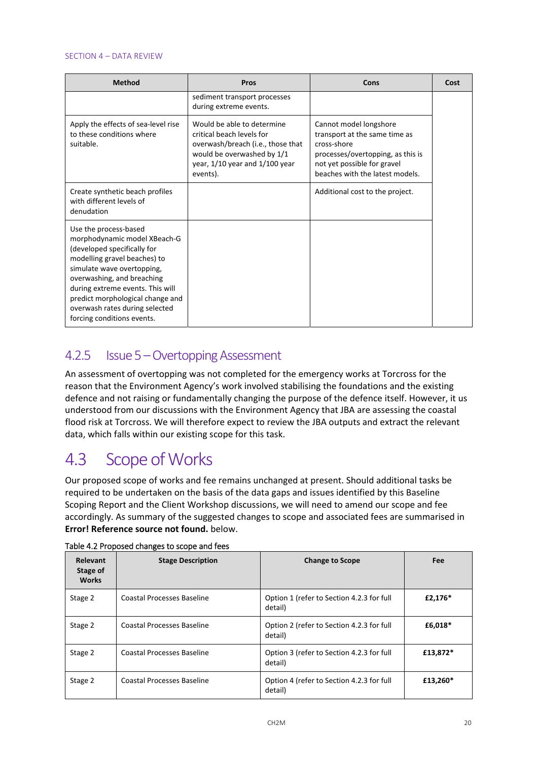#### SECTION 4 – DATA REVIEW

| <b>Method</b>                                                                                                                                                                                                                                                                                                            | Pros                                                                                                                                                                     | Cons                                                                                                                                                                          | Cost |
|--------------------------------------------------------------------------------------------------------------------------------------------------------------------------------------------------------------------------------------------------------------------------------------------------------------------------|--------------------------------------------------------------------------------------------------------------------------------------------------------------------------|-------------------------------------------------------------------------------------------------------------------------------------------------------------------------------|------|
|                                                                                                                                                                                                                                                                                                                          | sediment transport processes<br>during extreme events.                                                                                                                   |                                                                                                                                                                               |      |
| Apply the effects of sea-level rise<br>to these conditions where<br>suitable.                                                                                                                                                                                                                                            | Would be able to determine<br>critical beach levels for<br>overwash/breach (i.e., those that<br>would be overwashed by 1/1<br>year, 1/10 year and 1/100 year<br>events). | Cannot model longshore<br>transport at the same time as<br>cross-shore<br>processes/overtopping, as this is<br>not yet possible for gravel<br>beaches with the latest models. |      |
| Create synthetic beach profiles<br>with different levels of<br>denudation                                                                                                                                                                                                                                                |                                                                                                                                                                          | Additional cost to the project.                                                                                                                                               |      |
| Use the process-based<br>morphodynamic model XBeach-G<br>(developed specifically for<br>modelling gravel beaches) to<br>simulate wave overtopping,<br>overwashing, and breaching<br>during extreme events. This will<br>predict morphological change and<br>overwash rates during selected<br>forcing conditions events. |                                                                                                                                                                          |                                                                                                                                                                               |      |

### 4.2.5 Issue 5 – Overtopping Assessment

An assessment of overtopping was not completed for the emergency works at Torcross for the reason that the Environment Agency's work involved stabilising the foundations and the existing defence and not raising or fundamentally changing the purpose of the defence itself. However, it us understood from our discussions with the Environment Agency that JBA are assessing the coastal flood risk at Torcross. We will therefore expect to review the JBA outputs and extract the relevant data, which falls within our existing scope for this task.

## 4.3 Scope of Works

Our proposed scope of works and fee remains unchanged at present. Should additional tasks be required to be undertaken on the basis of the data gaps and issues identified by this Baseline Scoping Report and the Client Workshop discussions, we will need to amend our scope and fee accordingly. As summary of the suggested changes to scope and associated fees are summarised in **Error! Reference source not found.** below.

| <b>Relevant</b><br>Stage of<br><b>Works</b> | <b>Stage Description</b>   | <b>Change to Scope</b>                               | <b>Fee</b> |
|---------------------------------------------|----------------------------|------------------------------------------------------|------------|
| Stage 2                                     | Coastal Processes Baseline | Option 1 (refer to Section 4.2.3 for full<br>detail) | £2,176*    |
| Stage 2                                     | Coastal Processes Baseline | Option 2 (refer to Section 4.2.3 for full<br>detail) | £6,018*    |
| Stage 2                                     | Coastal Processes Baseline | Option 3 (refer to Section 4.2.3 for full<br>detail) | £13,872*   |
| Stage 2                                     | Coastal Processes Baseline | Option 4 (refer to Section 4.2.3 for full<br>detail) | £13,260*   |

#### Table 4.2 Proposed changes to scope and fees